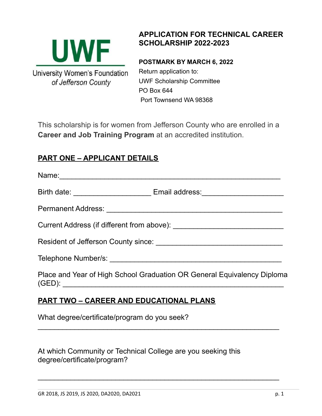

## **APPLICATION FOR TECHNICAL CAREER SCHOLARSHIP 2022-2023**

**POSTMARK BY MARCH 6, 2022** Return application to: UWF Scholarship Committee PO Box 644 Port Townsend WA 98368

This scholarship is for women from Jefferson County who are enrolled in a **Career and Job Training Program** at an accredited institution.

## **PART ONE – APPLICANT DETAILS**

| Name:                                                                            |
|----------------------------------------------------------------------------------|
| Birth date: ____________________________ Email address: ________________________ |
|                                                                                  |
|                                                                                  |
|                                                                                  |
|                                                                                  |
| Place and Year of High School Graduation OR General Equivalency Diploma          |

 $\mathcal{L}_\text{max}$  , and the contract of the contract of the contract of the contract of the contract of the contract of the contract of the contract of the contract of the contract of the contract of the contract of the contr

 $\mathcal{L}_\text{max}$  , and the contract of the contract of the contract of the contract of the contract of the contract of the contract of the contract of the contract of the contract of the contract of the contract of the contr

### **PART TWO – CAREER AND EDUCATIONAL PLANS**

What degree/certificate/program do you seek?

| At which Community or Technical College are you seeking this |  |
|--------------------------------------------------------------|--|
| degree/certificate/program?                                  |  |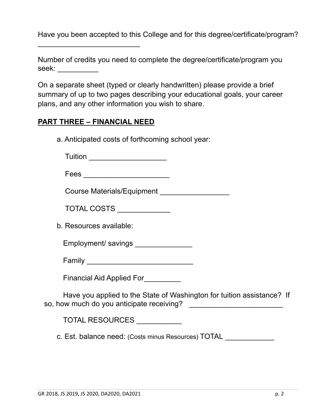Have you been accepted to this College and for this degree/certificate/program?

| Number of credits you need to complete the degree/certificate/program you |  |
|---------------------------------------------------------------------------|--|
| seek:                                                                     |  |

On a separate sheet (typed or clearly handwritten) please provide a brief summary of up to two pages describing your educational goals, your career plans, and any other information you wish to share.

#### **PART THREE – FINANCIAL NEED**

\_\_\_\_\_\_\_\_\_\_\_\_\_\_\_\_\_\_\_\_\_\_\_\_\_

a. Anticipated costs of forthcoming school year:

Tuition **and the set of the set of the set of the set of the set of the set of the set of the set of the set of the set of the set of the set of the set of the set of the set of the set of the set of the set of the set of** 

| Fees |  |  |  |  |  |  |  |  |  |  |
|------|--|--|--|--|--|--|--|--|--|--|
|      |  |  |  |  |  |  |  |  |  |  |

Course Materials/Equipment

TOTAL COSTS \_\_\_\_\_\_\_\_\_\_\_\_\_

b. Resources available:

Employment/ savings

Financial Aid Applied For\_\_\_\_\_\_\_\_\_

Have you applied to the State of Washington for tuition assistance? If so, how much do you anticipate receiving? \_\_\_\_\_\_\_\_\_\_\_\_\_\_\_\_\_\_\_\_\_\_\_

TOTAL RESOURCES \_\_\_\_\_\_\_\_\_\_\_

c. Est. balance need: (Costs minus Resources) TOTAL